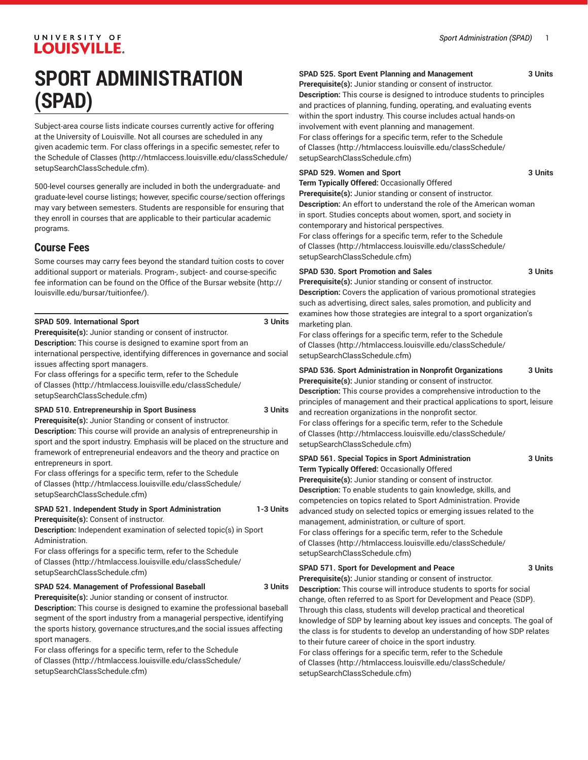## UNIVERSITY OF **LOUISVILLE.**

# **SPORT ADMINISTRATION (SPAD)**

Subject-area course lists indicate courses currently active for offering at the University of Louisville. Not all courses are scheduled in any given academic term. For class offerings in a specific semester, refer to the [Schedule of Classes](http://htmlaccess.louisville.edu/classSchedule/setupSearchClassSchedule.cfm) ([http://htmlaccess.louisville.edu/classSchedule/](http://htmlaccess.louisville.edu/classSchedule/setupSearchClassSchedule.cfm) [setupSearchClassSchedule.cfm\)](http://htmlaccess.louisville.edu/classSchedule/setupSearchClassSchedule.cfm).

500-level courses generally are included in both the undergraduate- and graduate-level course listings; however, specific course/section offerings may vary between semesters. Students are responsible for ensuring that they enroll in courses that are applicable to their particular academic programs.

## **Course Fees**

Some courses may carry fees beyond the standard tuition costs to cover additional support or materials. Program-, subject- and course-specific fee information can be found on the [Office of the Bursar website](http://louisville.edu/bursar/tuitionfee/) ([http://](http://louisville.edu/bursar/tuitionfee/) [louisville.edu/bursar/tuitionfee/](http://louisville.edu/bursar/tuitionfee/)).

| SPAD 509. International Sport                                        | 3 Units |
|----------------------------------------------------------------------|---------|
| <b>Prerequisite(s):</b> Junior standing or consent of instructor.    |         |
| <b>Description:</b> This course is designed to examine sport from an |         |

international perspective, identifying differences in governance and social issues affecting sport managers.

For class offerings for a specific term, refer to the [Schedule](http://htmlaccess.louisville.edu/classSchedule/setupSearchClassSchedule.cfm) [of Classes \(http://htmlaccess.louisville.edu/classSchedule/](http://htmlaccess.louisville.edu/classSchedule/setupSearchClassSchedule.cfm)

[setupSearchClassSchedule.cfm\)](http://htmlaccess.louisville.edu/classSchedule/setupSearchClassSchedule.cfm)

#### **SPAD 510. Entrepreneurship in Sport Business 3 Units Prerequisite(s):** Junior Standing or consent of instructor.

**Description:** This course will provide an analysis of entrepreneurship in sport and the sport industry. Emphasis will be placed on the structure and framework of entrepreneurial endeavors and the theory and practice on entrepreneurs in sport.

For class offerings for a specific term, refer to the [Schedule](http://htmlaccess.louisville.edu/classSchedule/setupSearchClassSchedule.cfm) [of Classes \(http://htmlaccess.louisville.edu/classSchedule/](http://htmlaccess.louisville.edu/classSchedule/setupSearchClassSchedule.cfm) [setupSearchClassSchedule.cfm\)](http://htmlaccess.louisville.edu/classSchedule/setupSearchClassSchedule.cfm)

#### **SPAD 521. Independent Study in Sport Administration 1-3 Units Prerequisite(s):** Consent of instructor.

**Description:** Independent examination of selected topic(s) in Sport Administration.

For class offerings for a specific term, refer to the [Schedule](http://htmlaccess.louisville.edu/classSchedule/setupSearchClassSchedule.cfm) [of Classes \(http://htmlaccess.louisville.edu/classSchedule/](http://htmlaccess.louisville.edu/classSchedule/setupSearchClassSchedule.cfm) [setupSearchClassSchedule.cfm\)](http://htmlaccess.louisville.edu/classSchedule/setupSearchClassSchedule.cfm)

#### **SPAD 524. Management of Professional Baseball 3 Units**

**Prerequisite(s):** Junior standing or consent of instructor.

**Description:** This course is designed to examine the professional baseball segment of the sport industry from a managerial perspective, identifying the sports history, governance structures,and the social issues affecting sport managers.

For class offerings for a specific term, refer to the [Schedule](http://htmlaccess.louisville.edu/classSchedule/setupSearchClassSchedule.cfm) [of Classes \(http://htmlaccess.louisville.edu/classSchedule/](http://htmlaccess.louisville.edu/classSchedule/setupSearchClassSchedule.cfm) [setupSearchClassSchedule.cfm\)](http://htmlaccess.louisville.edu/classSchedule/setupSearchClassSchedule.cfm)

### **SPAD 525. Sport Event Planning and Management 3 Units**

**Prerequisite(s):** Junior standing or consent of instructor. **Description:** This course is designed to introduce students to principles

and practices of planning, funding, operating, and evaluating events within the sport industry. This course includes actual hands-on involvement with event planning and management. For class offerings for a specific term, refer to the [Schedule](http://htmlaccess.louisville.edu/classSchedule/setupSearchClassSchedule.cfm) [of Classes](http://htmlaccess.louisville.edu/classSchedule/setupSearchClassSchedule.cfm) ([http://htmlaccess.louisville.edu/classSchedule/](http://htmlaccess.louisville.edu/classSchedule/setupSearchClassSchedule.cfm) [setupSearchClassSchedule.cfm\)](http://htmlaccess.louisville.edu/classSchedule/setupSearchClassSchedule.cfm)

#### **SPAD 529. Women and Sport 3 Units**

**Term Typically Offered:** Occasionally Offered

**Prerequisite(s):** Junior standing or consent of instructor. **Description:** An effort to understand the role of the American woman in sport. Studies concepts about women, sport, and society in contemporary and historical perspectives.

For class offerings for a specific term, refer to the [Schedule](http://htmlaccess.louisville.edu/classSchedule/setupSearchClassSchedule.cfm) [of Classes](http://htmlaccess.louisville.edu/classSchedule/setupSearchClassSchedule.cfm) ([http://htmlaccess.louisville.edu/classSchedule/](http://htmlaccess.louisville.edu/classSchedule/setupSearchClassSchedule.cfm) [setupSearchClassSchedule.cfm\)](http://htmlaccess.louisville.edu/classSchedule/setupSearchClassSchedule.cfm)

#### **SPAD 530. Sport Promotion and Sales 3 Units**

**Prerequisite(s):** Junior standing or consent of instructor. **Description:** Covers the application of various promotional strategies such as advertising, direct sales, sales promotion, and publicity and examines how those strategies are integral to a sport organization's marketing plan.

For class offerings for a specific term, refer to the [Schedule](http://htmlaccess.louisville.edu/classSchedule/setupSearchClassSchedule.cfm) [of Classes](http://htmlaccess.louisville.edu/classSchedule/setupSearchClassSchedule.cfm) ([http://htmlaccess.louisville.edu/classSchedule/](http://htmlaccess.louisville.edu/classSchedule/setupSearchClassSchedule.cfm) [setupSearchClassSchedule.cfm\)](http://htmlaccess.louisville.edu/classSchedule/setupSearchClassSchedule.cfm)

#### **SPAD 536. Sport Administration in Nonprofit Organizations 3 Units**

**Prerequisite(s):** Junior standing or consent of instructor. **Description:** This course provides a comprehensive introduction to the principles of management and their practical applications to sport, leisure and recreation organizations in the nonprofit sector. For class offerings for a specific term, refer to the [Schedule](http://htmlaccess.louisville.edu/classSchedule/setupSearchClassSchedule.cfm) [of Classes](http://htmlaccess.louisville.edu/classSchedule/setupSearchClassSchedule.cfm) ([http://htmlaccess.louisville.edu/classSchedule/](http://htmlaccess.louisville.edu/classSchedule/setupSearchClassSchedule.cfm) [setupSearchClassSchedule.cfm\)](http://htmlaccess.louisville.edu/classSchedule/setupSearchClassSchedule.cfm)

**SPAD 561. Special Topics in Sport Administration 3 Units Term Typically Offered:** Occasionally Offered **Prerequisite(s):** Junior standing or consent of instructor. **Description:** To enable students to gain knowledge, skills, and competencies on topics related to Sport Administration. Provide advanced study on selected topics or emerging issues related to the management, administration, or culture of sport. For class offerings for a specific term, refer to the [Schedule](http://htmlaccess.louisville.edu/classSchedule/setupSearchClassSchedule.cfm) [of Classes](http://htmlaccess.louisville.edu/classSchedule/setupSearchClassSchedule.cfm) ([http://htmlaccess.louisville.edu/classSchedule/](http://htmlaccess.louisville.edu/classSchedule/setupSearchClassSchedule.cfm) [setupSearchClassSchedule.cfm\)](http://htmlaccess.louisville.edu/classSchedule/setupSearchClassSchedule.cfm)

#### **SPAD 571. Sport for Development and Peace 3 Units**

**Prerequisite(s):** Junior standing or consent of instructor. **Description:** This course will introduce students to sports for social change, often referred to as Sport for Development and Peace (SDP). Through this class, students will develop practical and theoretical knowledge of SDP by learning about key issues and concepts. The goal of the class is for students to develop an understanding of how SDP relates to their future career of choice in the sport industry. For class offerings for a specific term, refer to the [Schedule](http://htmlaccess.louisville.edu/classSchedule/setupSearchClassSchedule.cfm)

[of Classes](http://htmlaccess.louisville.edu/classSchedule/setupSearchClassSchedule.cfm) ([http://htmlaccess.louisville.edu/classSchedule/](http://htmlaccess.louisville.edu/classSchedule/setupSearchClassSchedule.cfm) [setupSearchClassSchedule.cfm\)](http://htmlaccess.louisville.edu/classSchedule/setupSearchClassSchedule.cfm)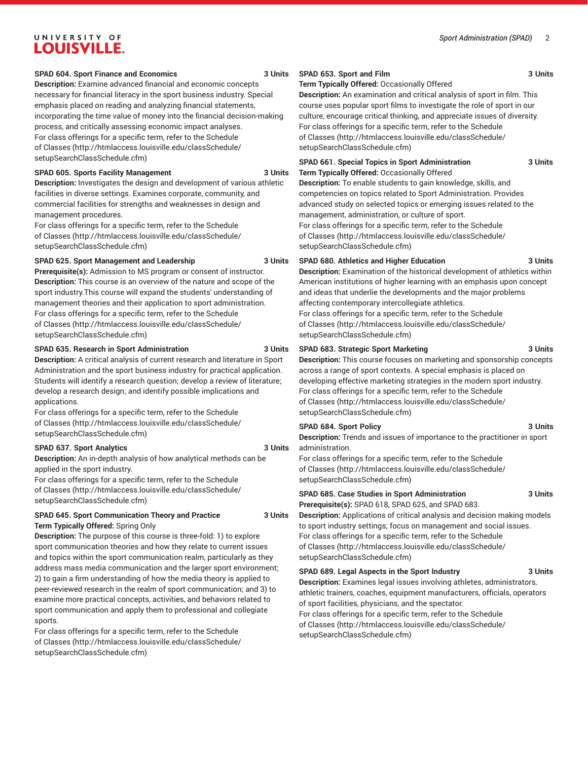## UNIVERSITY OF **LOUISVILLE.**

#### **SPAD 604. Sport Finance and Economics 3 Units**

**Description:** Examine advanced financial and economic concepts necessary for financial literacy in the sport business industry. Special emphasis placed on reading and analyzing financial statements, incorporating the time value of money into the financial decision-making process, and critically assessing economic impact analyses. For class offerings for a specific term, refer to the [Schedule](http://htmlaccess.louisville.edu/classSchedule/setupSearchClassSchedule.cfm) [of Classes \(http://htmlaccess.louisville.edu/classSchedule/](http://htmlaccess.louisville.edu/classSchedule/setupSearchClassSchedule.cfm) [setupSearchClassSchedule.cfm\)](http://htmlaccess.louisville.edu/classSchedule/setupSearchClassSchedule.cfm)

#### **SPAD 605. Sports Facility Management 3 Units**

**Description:** Investigates the design and development of various athletic facilities in diverse settings. Examines corporate, community, and commercial facilities for strengths and weaknesses in design and management procedures.

For class offerings for a specific term, refer to the [Schedule](http://htmlaccess.louisville.edu/classSchedule/setupSearchClassSchedule.cfm) [of Classes \(http://htmlaccess.louisville.edu/classSchedule/](http://htmlaccess.louisville.edu/classSchedule/setupSearchClassSchedule.cfm) [setupSearchClassSchedule.cfm\)](http://htmlaccess.louisville.edu/classSchedule/setupSearchClassSchedule.cfm)

#### **SPAD 625. Sport Management and Leadership 3 Units**

**Prerequisite(s):** Admission to MS program or consent of instructor.

**Description:** This course is an overview of the nature and scope of the sport industry.This course will expand the students' understanding of management theories and their application to sport administration. For class offerings for a specific term, refer to the [Schedule](http://htmlaccess.louisville.edu/classSchedule/setupSearchClassSchedule.cfm) [of Classes \(http://htmlaccess.louisville.edu/classSchedule/](http://htmlaccess.louisville.edu/classSchedule/setupSearchClassSchedule.cfm) [setupSearchClassSchedule.cfm\)](http://htmlaccess.louisville.edu/classSchedule/setupSearchClassSchedule.cfm)

#### **SPAD 635. Research in Sport Administration 3 Units**

**Description:** A critical analysis of current research and literature in Sport Administration and the sport business industry for practical application. Students will identify a research question; develop a review of literature; develop a research design; and identify possible implications and applications.

For class offerings for a specific term, refer to the [Schedule](http://htmlaccess.louisville.edu/classSchedule/setupSearchClassSchedule.cfm) [of Classes \(http://htmlaccess.louisville.edu/classSchedule/](http://htmlaccess.louisville.edu/classSchedule/setupSearchClassSchedule.cfm) [setupSearchClassSchedule.cfm\)](http://htmlaccess.louisville.edu/classSchedule/setupSearchClassSchedule.cfm)

#### **SPAD 637. Sport Analytics 3 Units**

**Description:** An in-depth analysis of how analytical methods can be applied in the sport industry.

For class offerings for a specific term, refer to the [Schedule](http://htmlaccess.louisville.edu/classSchedule/setupSearchClassSchedule.cfm) [of Classes \(http://htmlaccess.louisville.edu/classSchedule/](http://htmlaccess.louisville.edu/classSchedule/setupSearchClassSchedule.cfm) [setupSearchClassSchedule.cfm\)](http://htmlaccess.louisville.edu/classSchedule/setupSearchClassSchedule.cfm)

#### **SPAD 645. Sport Communication Theory and Practice 3 Units Term Typically Offered:** Spring Only

**Description:** The purpose of this course is three-fold: 1) to explore sport communication theories and how they relate to current issues and topics within the sport communication realm, particularly as they address mass media communication and the larger sport environment; 2) to gain a firm understanding of how the media theory is applied to peer-reviewed research in the realm of sport communication; and 3) to examine more practical concepts, activities, and behaviors related to sport communication and apply them to professional and collegiate sports.

For class offerings for a specific term, refer to the [Schedule](http://htmlaccess.louisville.edu/classSchedule/setupSearchClassSchedule.cfm) [of Classes \(http://htmlaccess.louisville.edu/classSchedule/](http://htmlaccess.louisville.edu/classSchedule/setupSearchClassSchedule.cfm) [setupSearchClassSchedule.cfm\)](http://htmlaccess.louisville.edu/classSchedule/setupSearchClassSchedule.cfm)

#### **SPAD 653. Sport and Film 3 Units**

**Term Typically Offered:** Occasionally Offered

**Description:** An examination and critical analysis of sport in film. This course uses popular sport films to investigate the role of sport in our culture, encourage critical thinking, and appreciate issues of diversity. For class offerings for a specific term, refer to the [Schedule](http://htmlaccess.louisville.edu/classSchedule/setupSearchClassSchedule.cfm) [of Classes](http://htmlaccess.louisville.edu/classSchedule/setupSearchClassSchedule.cfm) ([http://htmlaccess.louisville.edu/classSchedule/](http://htmlaccess.louisville.edu/classSchedule/setupSearchClassSchedule.cfm) [setupSearchClassSchedule.cfm\)](http://htmlaccess.louisville.edu/classSchedule/setupSearchClassSchedule.cfm)

#### **SPAD 661. Special Topics in Sport Administration 3 Units Term Typically Offered:** Occasionally Offered

**Description:** To enable students to gain knowledge, skills, and competencies on topics related to Sport Administration. Provides advanced study on selected topics or emerging issues related to the management, administration, or culture of sport.

For class offerings for a specific term, refer to the [Schedule](http://htmlaccess.louisville.edu/classSchedule/setupSearchClassSchedule.cfm) [of Classes](http://htmlaccess.louisville.edu/classSchedule/setupSearchClassSchedule.cfm) ([http://htmlaccess.louisville.edu/classSchedule/](http://htmlaccess.louisville.edu/classSchedule/setupSearchClassSchedule.cfm) [setupSearchClassSchedule.cfm\)](http://htmlaccess.louisville.edu/classSchedule/setupSearchClassSchedule.cfm)

#### **SPAD 680. Athletics and Higher Education 3 Units**

**Description:** Examination of the historical development of athletics within American institutions of higher learning with an emphasis upon concept and ideas that underlie the developments and the major problems affecting contemporary intercollegiate athletics.

For class offerings for a specific term, refer to the [Schedule](http://htmlaccess.louisville.edu/classSchedule/setupSearchClassSchedule.cfm) [of Classes](http://htmlaccess.louisville.edu/classSchedule/setupSearchClassSchedule.cfm) ([http://htmlaccess.louisville.edu/classSchedule/](http://htmlaccess.louisville.edu/classSchedule/setupSearchClassSchedule.cfm) [setupSearchClassSchedule.cfm\)](http://htmlaccess.louisville.edu/classSchedule/setupSearchClassSchedule.cfm)

#### **SPAD 683. Strategic Sport Marketing 3 Units**

**Description:** This course focuses on marketing and sponsorship concepts across a range of sport contexts. A special emphasis is placed on developing effective marketing strategies in the modern sport industry. For class offerings for a specific term, refer to the [Schedule](http://htmlaccess.louisville.edu/classSchedule/setupSearchClassSchedule.cfm) [of Classes](http://htmlaccess.louisville.edu/classSchedule/setupSearchClassSchedule.cfm) ([http://htmlaccess.louisville.edu/classSchedule/](http://htmlaccess.louisville.edu/classSchedule/setupSearchClassSchedule.cfm) [setupSearchClassSchedule.cfm\)](http://htmlaccess.louisville.edu/classSchedule/setupSearchClassSchedule.cfm)

#### **SPAD 684. Sport Policy 3 Units**

**Description:** Trends and issues of importance to the practitioner in sport administration.

For class offerings for a specific term, refer to the [Schedule](http://htmlaccess.louisville.edu/classSchedule/setupSearchClassSchedule.cfm) [of Classes](http://htmlaccess.louisville.edu/classSchedule/setupSearchClassSchedule.cfm) ([http://htmlaccess.louisville.edu/classSchedule/](http://htmlaccess.louisville.edu/classSchedule/setupSearchClassSchedule.cfm) [setupSearchClassSchedule.cfm\)](http://htmlaccess.louisville.edu/classSchedule/setupSearchClassSchedule.cfm)

#### **SPAD 685. Case Studies in Sport Administration 3 Units**

**Prerequisite(s):** SPAD 618, SPAD 625, and SPAD 683. **Description:** Applications of critical analysis and decision making models to sport industry settings; focus on management and social issues. For class offerings for a specific term, refer to the [Schedule](http://htmlaccess.louisville.edu/classSchedule/setupSearchClassSchedule.cfm) [of Classes](http://htmlaccess.louisville.edu/classSchedule/setupSearchClassSchedule.cfm) ([http://htmlaccess.louisville.edu/classSchedule/](http://htmlaccess.louisville.edu/classSchedule/setupSearchClassSchedule.cfm) [setupSearchClassSchedule.cfm\)](http://htmlaccess.louisville.edu/classSchedule/setupSearchClassSchedule.cfm)

#### **SPAD 689. Legal Aspects in the Sport Industry 3 Units**

**Description:** Examines legal issues involving athletes, administrators, athletic trainers, coaches, equipment manufacturers, officials, operators of sport facilities, physicians, and the spectator.

For class offerings for a specific term, refer to the [Schedule](http://htmlaccess.louisville.edu/classSchedule/setupSearchClassSchedule.cfm) [of Classes](http://htmlaccess.louisville.edu/classSchedule/setupSearchClassSchedule.cfm) ([http://htmlaccess.louisville.edu/classSchedule/](http://htmlaccess.louisville.edu/classSchedule/setupSearchClassSchedule.cfm) [setupSearchClassSchedule.cfm\)](http://htmlaccess.louisville.edu/classSchedule/setupSearchClassSchedule.cfm)